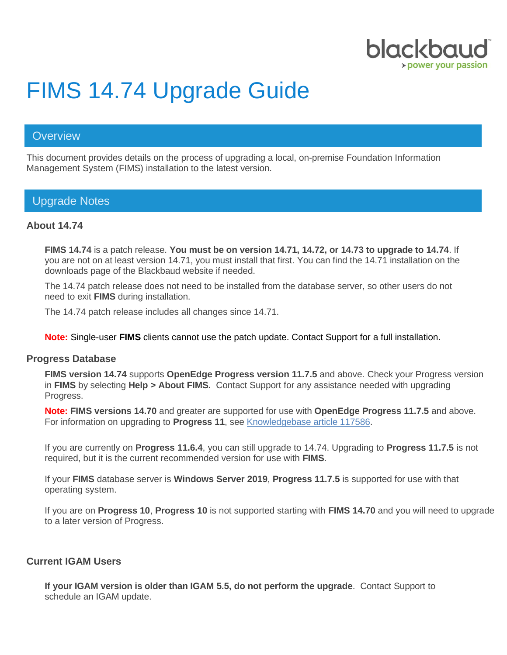

# FIMS 14.74 Upgrade Guide

# **Overview**

This document provides details on the process of upgrading a local, on-premise Foundation Information Management System (FIMS) installation to the latest version.

# Upgrade Notes

## **About 14.74**

**FIMS 14.74** is a patch release. **You must be on version 14.71, 14.72, or 14.73 to upgrade to 14.74**. If you are not on at least version 14.71, you must install that first. You can find the 14.71 installation on the downloads page of the Blackbaud website if needed.

The 14.74 patch release does not need to be installed from the database server, so other users do not need to exit **FIMS** during installation.

The 14.74 patch release includes all changes since 14.71.

**Note:** Single-user **FIMS** clients cannot use the patch update. Contact Support for a full installation.

#### **Progress Database**

**FIMS version 14.74** supports **OpenEdge Progress version 11.7.5** and above. Check your Progress version in **FIMS** by selecting **Help > About FIMS.** Contact Support for any assistance needed with upgrading Progress.

**Note: FIMS versions 14.70** and greater are supported for use with **OpenEdge Progress 11.7.5** and above. For information on upgrading to **Progress 11**, see [Knowledgebase article 117586.](https://kb.blackbaud.com/articles/Article/117586?_ga=2.229194654.345548750.1549898302-1694641167.1503691833)

If you are currently on **Progress 11.6.4**, you can still upgrade to 14.74. Upgrading to **Progress 11.7.5** is not required, but it is the current recommended version for use with **FIMS**.

If your **FIMS** database server is **Windows Server 2019**, **Progress 11.7.5** is supported for use with that operating system.

If you are on **Progress 10**, **Progress 10** is not supported starting with **FIMS 14.70** and you will need to upgrade to a later version of Progress.

## **Current IGAM Users**

**If your IGAM version is older than IGAM 5.5, do not perform the upgrade**. Contact Support to schedule an IGAM update.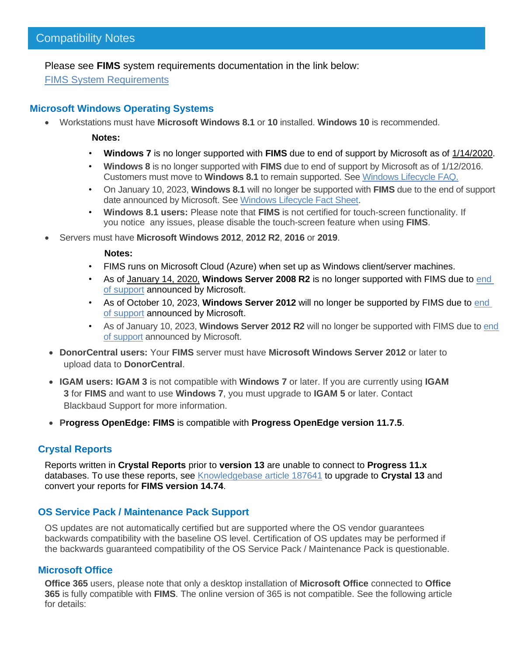Please see **FIMS** system requirements documentation in the link below:

[FIMS System Requirements](https://www.blackbaud.com/training-support/support/system-requirements/fims-system-requirements#compatibility)

## **Microsoft Windows Operating Systems**

• Workstations must have **Microsoft Windows 8.1** or **10** installed. **Windows 10** is recommended.

**Notes:**

- **Windows 7** is no longer supported with **FIMS** due to end of support by Microsoft as of [1/14/2020.](https://support.microsoft.com/en-us/help/4057281)
- **Windows 8** is no longer supported with **FIMS** due to end of support by Microsoft as of 1/12/2016. Customers must move to **Windows 8.1** to remain supported. See [Windows Lifecycle FAQ.](https://support.microsoft.com/en-us/help/18581/lifecycle-faq-windows-products)
- On January 10, 2023, **Windows 8.1** will no longer be supported with **FIMS** due to the end of support date announced by Microsoft. See [Windows Lifecycle Fact Sheet.](https://support.microsoft.com/en-us/help/13853/windows-lifecycle-fact-sheet)
- **Windows 8.1 users:** Please note that **FIMS** is not certified for touch-screen functionality. If you notice any issues, please disable the touch-screen feature when using **FIMS**.

• Servers must have **Microsoft Windows 2012**, **2012 R2**, **2016** or **2019**.

#### **Notes:**

- FIMS runs on Microsoft Cloud (Azure) when set up as Windows client/server machines.
- As of [January 14, 2020,](https://support.microsoft.com/en-us/help/4057281) **Windows Server 2008 R2** is no longer supported with FIMS due to [end](https://support.microsoft.com/en-us/help/4456235/end-of-support-for-windows-server-2008-and-windows-server-2008-r2)  [of support](https://support.microsoft.com/en-us/help/4456235/end-of-support-for-windows-server-2008-and-windows-server-2008-r2) announced by Microsoft.
- As of October 10, 2023, **Windows Server 2012** will no longer be supported by FIMS due to [end](https://support.microsoft.com/en-us/lifecycle/search?alpha=Windows%20Server%202012%20Standard)  [of support](https://support.microsoft.com/en-us/lifecycle/search?alpha=Windows%20Server%202012%20Standard) announced by Microsoft.
- As of January 10, 2023, **Windows Server 2012 R2** will no longer be supported with FIMS due to [end](https://support.microsoft.com/en-us/lifecycle/search?alpha=Windows%20Server%202012%20Standard)  [of support](https://support.microsoft.com/en-us/lifecycle/search?alpha=Windows%20Server%202012%20Standard) announced by Microsoft.
- **DonorCentral users:** Your **FIMS** server must have **Microsoft Windows Server 2012** or later to upload data to **DonorCentral**.
- **IGAM users: IGAM 3** is not compatible with **Windows 7** or later. If you are currently using **IGAM 3** for **FIMS** and want to use **Windows 7**, you must upgrade to **IGAM 5** or later. Contact Blackbaud Support for more information.
- **Progress OpenEdge: FIMS** is compatible with **Progress OpenEdge version 11.7.5**.

## **Crystal Reports**

Reports written in **Crystal Reports** prior to **version 13** are unable to connect to **Progress 11.x** databases. To use these reports, see [Knowledgebase article 187641](https://kb.blackbaud.com/articles/Article/187641) to upgrade to **Crystal 13** and convert your reports for **FIMS version 14.74**.

## **OS Service Pack / Maintenance Pack Support**

OS updates are not automatically certified but are supported where the OS vendor guarantees backwards compatibility with the baseline OS level. Certification of OS updates may be performed if the backwards guaranteed compatibility of the OS Service Pack / Maintenance Pack is questionable.

## **Microsoft Office**

**Office 365** users, please note that only a desktop installation of **Microsoft Office** connected to **Office 365** is fully compatible with **FIMS**. The online version of 365 is not compatible. See the following article for details: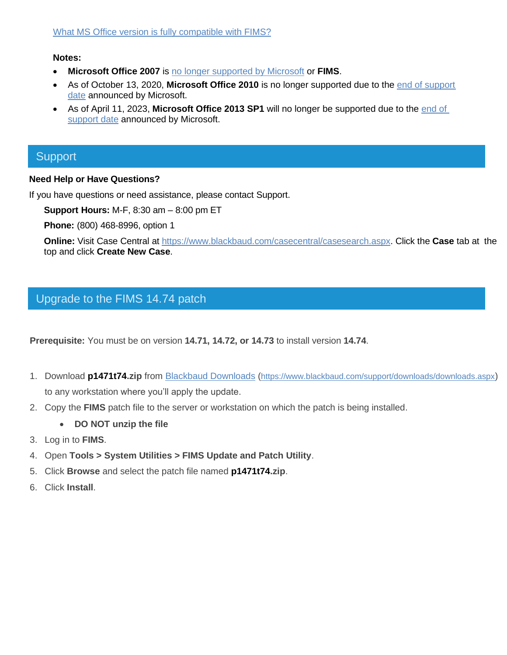#### **Notes:**

- **Microsoft Office 2007** is [no longer supported by Microsoft](https://docs.microsoft.com/en-us/deployoffice/office-2007-end-support-roadmap) or **FIMS**.
- As of October 13, 2020, **Microsoft Office 2010** is no longer supported due to the [end of support](https://docs.microsoft.com/en-us/deployoffice/office-2010-end-support-roadmap)  [date](https://docs.microsoft.com/en-us/deployoffice/office-2010-end-support-roadmap) announced by Microsoft.
- As of April 11, 2023, **Microsoft Office 2013 SP1** will no longer be supported due to the [end of](https://support.microsoft.com/en-us/lifecycle/search/16674)  [support date](https://support.microsoft.com/en-us/lifecycle/search/16674) announced by Microsoft.

# **Support**

#### **Need Help or Have Questions?**

If you have questions or need assistance, please contact Support.

**Support Hours:** M-F, 8:30 am – 8:00 pm ET

**Phone:** (800) 468-8996, option 1

**Online:** Visit Case Central at [https://www.blackbaud.com/casecentral/casesearch.aspx.](https://www.blackbaud.com/casecentral/casesearch.aspx) Click the **Case** tab at the top and click **Create New Case**.

# Upgrade to the FIMS 14.74 patch

**Prerequisite:** You must be on version **14.71, 14.72, or 14.73** to install version **14.74**.

- 1. Download **p1471t74.zip** from [Blackbaud Downloads](https://www.blackbaud.com/support/downloads/downloads.aspx) (<https://www.blackbaud.com/support/downloads/downloads.aspx>) to any workstation where you'll apply the update.
- 2. Copy the **FIMS** patch file to the server or workstation on which the patch is being installed.
	- **DO NOT unzip the file**
- 3. Log in to **FIMS**.
- 4. Open **Tools > System Utilities > FIMS Update and Patch Utility**.
- 5. Click **Browse** and select the patch file named **p1471t74.zip**.
- 6. Click **Install**.